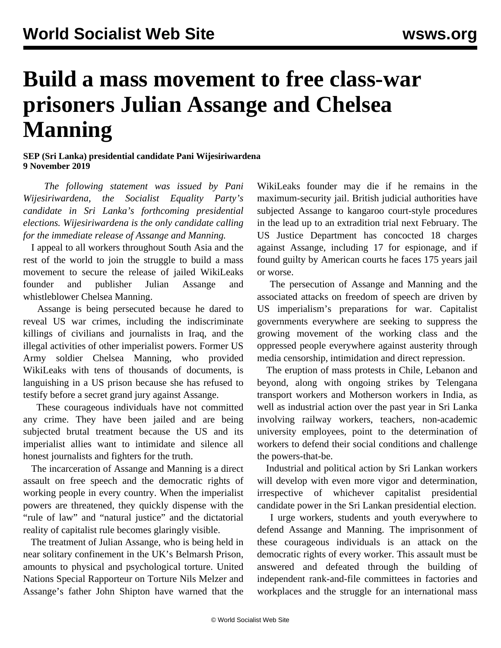## **Build a mass movement to free class-war prisoners Julian Assange and Chelsea Manning**

## **SEP (Sri Lanka) presidential candidate Pani Wijesiriwardena 9 November 2019**

 *The following statement was issued by Pani Wijesiriwardena, the Socialist Equality Party's candidate in Sri Lanka's forthcoming presidential elections. Wijesiriwardena is the only candidate calling for the immediate release of Assange and Manning.*

 I appeal to all workers throughout South Asia and the rest of the world to join the struggle to build a mass movement to secure the release of jailed WikiLeaks founder and publisher Julian Assange and whistleblower Chelsea Manning.

 Assange is being persecuted because he dared to reveal US war crimes, including the indiscriminate killings of civilians and journalists in Iraq, and the illegal activities of other imperialist powers. Former US Army soldier Chelsea Manning, who provided WikiLeaks with tens of thousands of documents, is languishing in a US prison because she has refused to testify before a secret grand jury against Assange.

 These courageous individuals have not committed any crime. They have been jailed and are being subjected brutal treatment because the US and its imperialist allies want to intimidate and silence all honest journalists and fighters for the truth.

 The incarceration of Assange and Manning is a direct assault on free speech and the democratic rights of working people in every country. When the imperialist powers are threatened, they quickly dispense with the "rule of law" and "natural justice" and the dictatorial reality of capitalist rule becomes glaringly visible.

 The treatment of Julian Assange, who is being held in near solitary confinement in the UK's Belmarsh Prison, amounts to physical and psychological torture. United Nations Special Rapporteur on Torture Nils Melzer and Assange's father John Shipton have warned that the

WikiLeaks founder may die if he remains in the maximum-security jail. British judicial authorities have subjected Assange to kangaroo court-style procedures in the lead up to an extradition trial next February. The US Justice Department has concocted 18 charges against Assange, including 17 for espionage, and if found guilty by American courts he faces 175 years jail or worse.

 The persecution of Assange and Manning and the associated attacks on freedom of speech are driven by US imperialism's preparations for war. Capitalist governments everywhere are seeking to suppress the growing movement of the working class and the oppressed people everywhere against austerity through media censorship, intimidation and direct repression.

 The eruption of mass protests in Chile, Lebanon and beyond, along with ongoing strikes by Telengana transport workers and Motherson workers in India, as well as industrial action over the past year in Sri Lanka involving railway workers, teachers, non-academic university employees, point to the determination of workers to defend their social conditions and challenge the powers-that-be.

 Industrial and political action by Sri Lankan workers will develop with even more vigor and determination, irrespective of whichever capitalist presidential candidate power in the Sri Lankan presidential election.

 I urge workers, students and youth everywhere to defend Assange and Manning. The imprisonment of these courageous individuals is an attack on the democratic rights of every worker. This assault must be answered and defeated through the building of independent rank-and-file committees in factories and workplaces and the struggle for an international mass